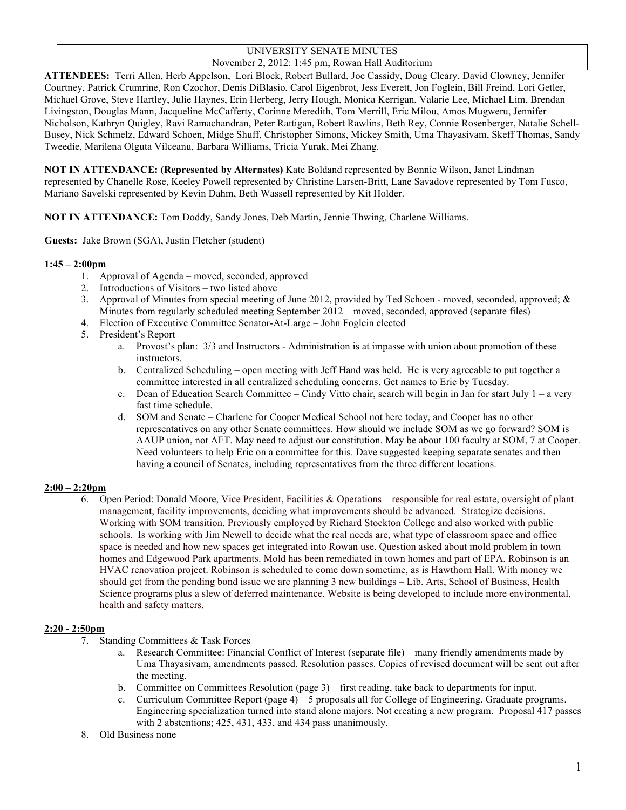#### UNIVERSITY SENATE MINUTES November 2, 2012: 1:45 pm, Rowan Hall Auditorium

**ATTENDEES:** Terri Allen, Herb Appelson, Lori Block, Robert Bullard, Joe Cassidy, Doug Cleary, David Clowney, Jennifer Courtney, Patrick Crumrine, Ron Czochor, Denis DiBlasio, Carol Eigenbrot, Jess Everett, Jon Foglein, Bill Freind, Lori Getler, Michael Grove, Steve Hartley, Julie Haynes, Erin Herberg, Jerry Hough, Monica Kerrigan, Valarie Lee, Michael Lim, Brendan Livingston, Douglas Mann, Jacqueline McCafferty, Corinne Meredith, Tom Merrill, Eric Milou, Amos Mugweru, Jennifer Nicholson, Kathryn Quigley, Ravi Ramachandran, Peter Rattigan, Robert Rawlins, Beth Rey, Connie Rosenberger, Natalie Schell-Busey, Nick Schmelz, Edward Schoen, Midge Shuff, Christopher Simons, Mickey Smith, Uma Thayasivam, Skeff Thomas, Sandy Tweedie, Marilena Olguta Vilceanu, Barbara Williams, Tricia Yurak, Mei Zhang.

**NOT IN ATTENDANCE: (Represented by Alternates)** Kate Boldand represented by Bonnie Wilson, Janet Lindman represented by Chanelle Rose, Keeley Powell represented by Christine Larsen-Britt, Lane Savadove represented by Tom Fusco, Mariano Savelski represented by Kevin Dahm, Beth Wassell represented by Kit Holder.

**NOT IN ATTENDANCE:** Tom Doddy, Sandy Jones, Deb Martin, Jennie Thwing, Charlene Williams.

**Guests:** Jake Brown (SGA), Justin Fletcher (student)

#### **1:45 – 2:00pm**

- 1. Approval of Agenda moved, seconded, approved
- 2. Introductions of Visitors two listed above
- 3. Approval of Minutes from special meeting of June 2012, provided by Ted Schoen moved, seconded, approved; & Minutes from regularly scheduled meeting September 2012 – moved, seconded, approved (separate files)
- 4. Election of Executive Committee Senator-At-Large John Foglein elected
- 5. President's Report
	- a. Provost's plan: 3/3 and Instructors Administration is at impasse with union about promotion of these instructors.
	- b. Centralized Scheduling open meeting with Jeff Hand was held. He is very agreeable to put together a committee interested in all centralized scheduling concerns. Get names to Eric by Tuesday.
	- c. Dean of Education Search Committee Cindy Vitto chair, search will begin in Jan for start July 1 a very fast time schedule.
	- d. SOM and Senate Charlene for Cooper Medical School not here today, and Cooper has no other representatives on any other Senate committees. How should we include SOM as we go forward? SOM is AAUP union, not AFT. May need to adjust our constitution. May be about 100 faculty at SOM, 7 at Cooper. Need volunteers to help Eric on a committee for this. Dave suggested keeping separate senates and then having a council of Senates, including representatives from the three different locations.

#### **2:00 – 2:20pm**

6. Open Period: Donald Moore, Vice President, Facilities & Operations – responsible for real estate, oversight of plant management, facility improvements, deciding what improvements should be advanced. Strategize decisions. Working with SOM transition. Previously employed by Richard Stockton College and also worked with public schools. Is working with Jim Newell to decide what the real needs are, what type of classroom space and office space is needed and how new spaces get integrated into Rowan use. Question asked about mold problem in town homes and Edgewood Park apartments. Mold has been remediated in town homes and part of EPA. Robinson is an HVAC renovation project. Robinson is scheduled to come down sometime, as is Hawthorn Hall. With money we should get from the pending bond issue we are planning 3 new buildings – Lib. Arts, School of Business, Health Science programs plus a slew of deferred maintenance. Website is being developed to include more environmental, health and safety matters.

#### **2:20 - 2:50pm**

- 7. Standing Committees & Task Forces
	- a. Research Committee: Financial Conflict of Interest (separate file) many friendly amendments made by Uma Thayasivam, amendments passed. Resolution passes. Copies of revised document will be sent out after the meeting.
	- b. Committee on Committees Resolution (page 3) first reading, take back to departments for input.
	- c. Curriculum Committee Report (page  $4$ ) 5 proposals all for College of Engineering. Graduate programs. Engineering specialization turned into stand alone majors. Not creating a new program. Proposal 417 passes with 2 abstentions; 425, 431, 433, and 434 pass unanimously.
- 8. Old Business none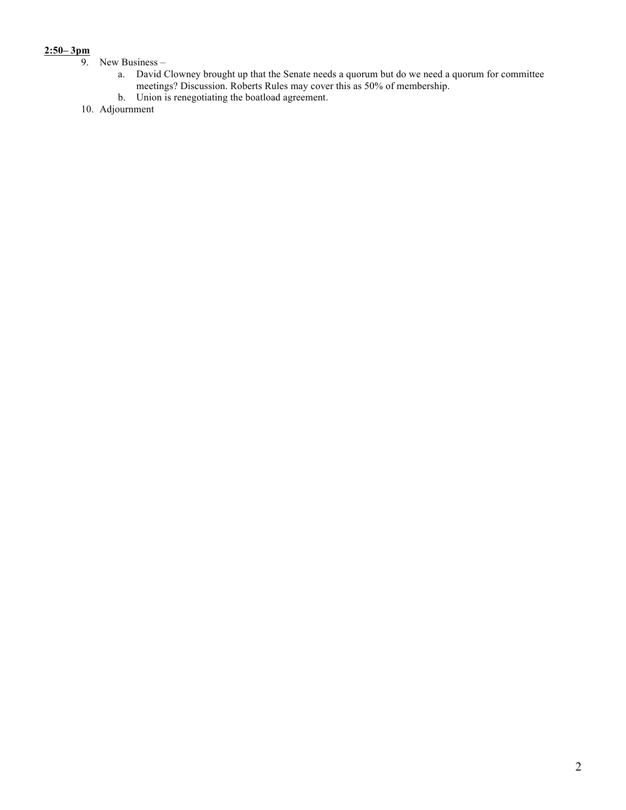# $\frac{2:50-3\,\text{pm}}{9}$

- New Business
	- a. David Clowney brought up that the Senate needs a quorum but do we need a quorum for committee meetings? Discussion. Roberts Rules may cover this as 50% of membership.
	- b. Union is renegotiating the boatload agreement.
- 10. Adjournment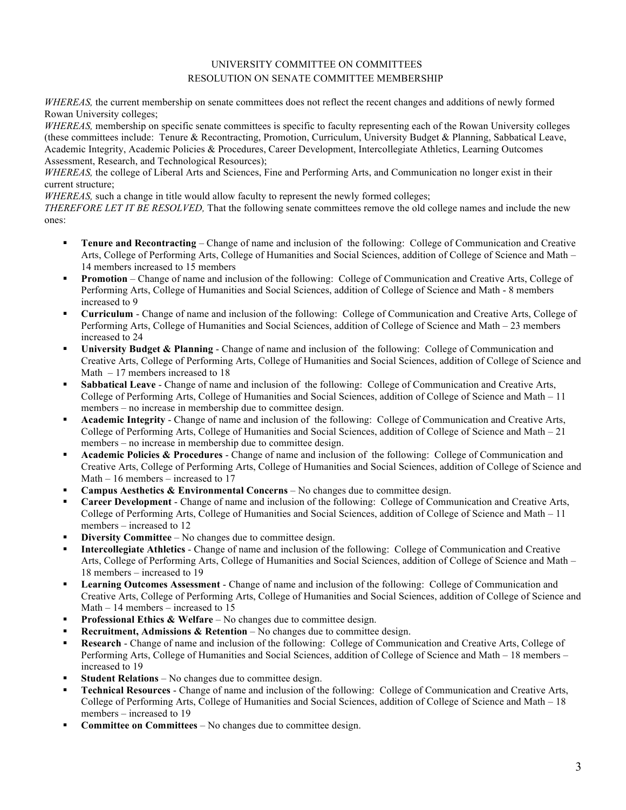#### UNIVERSITY COMMITTEE ON COMMITTEES RESOLUTION ON SENATE COMMITTEE MEMBERSHIP

*WHEREAS*, the current membership on senate committees does not reflect the recent changes and additions of newly formed Rowan University colleges;

*WHEREAS*, membership on specific senate committees is specific to faculty representing each of the Rowan University colleges (these committees include: Tenure & Recontracting, Promotion, Curriculum, University Budget & Planning, Sabbatical Leave, Academic Integrity, Academic Policies & Procedures, Career Development, Intercollegiate Athletics, Learning Outcomes Assessment, Research, and Technological Resources);

*WHEREAS*, the college of Liberal Arts and Sciences, Fine and Performing Arts, and Communication no longer exist in their current structure;

*WHEREAS*, such a change in title would allow faculty to represent the newly formed colleges;

*THEREFORE LET IT BE RESOLVED,* That the following senate committees remove the old college names and include the new ones:

- **Tenure and Recontracting** Change of name and inclusion of the following: College of Communication and Creative Arts, College of Performing Arts, College of Humanities and Social Sciences, addition of College of Science and Math – 14 members increased to 15 members
- **Promotion** Change of name and inclusion of the following: College of Communication and Creative Arts, College of Performing Arts, College of Humanities and Social Sciences, addition of College of Science and Math - 8 members increased to 9
- **Curriculum** Change of name and inclusion of the following: College of Communication and Creative Arts, College of Performing Arts, College of Humanities and Social Sciences, addition of College of Science and Math – 23 members increased to 24
- **University Budget & Planning** Change of name and inclusion of the following: College of Communication and Creative Arts, College of Performing Arts, College of Humanities and Social Sciences, addition of College of Science and Math – 17 members increased to 18
- **Sabbatical Leave** Change of name and inclusion of the following: College of Communication and Creative Arts, College of Performing Arts, College of Humanities and Social Sciences, addition of College of Science and Math – 11 members – no increase in membership due to committee design.
- **Academic Integrity** Change of name and inclusion of the following: College of Communication and Creative Arts, College of Performing Arts, College of Humanities and Social Sciences, addition of College of Science and Math – 21 members – no increase in membership due to committee design.
- **Academic Policies & Procedures** Change of name and inclusion of the following: College of Communication and Creative Arts, College of Performing Arts, College of Humanities and Social Sciences, addition of College of Science and Math – 16 members – increased to 17
- **Campus Aesthetics & Environmental Concerns** No changes due to committee design.
- **Career Development** Change of name and inclusion of the following: College of Communication and Creative Arts, College of Performing Arts, College of Humanities and Social Sciences, addition of College of Science and Math – 11 members – increased to 12
- **Diversity Committee** No changes due to committee design.
- **Intercollegiate Athletics**  Change of name and inclusion of the following: College of Communication and Creative Arts, College of Performing Arts, College of Humanities and Social Sciences, addition of College of Science and Math – 18 members – increased to 19
- **Learning Outcomes Assessment** Change of name and inclusion of the following: College of Communication and Creative Arts, College of Performing Arts, College of Humanities and Social Sciences, addition of College of Science and Math – 14 members – increased to 15
- **Professional Ethics & Welfare** No changes due to committee design.
- **Recruitment, Admissions & Retention** No changes due to committee design.
- **Research** Change of name and inclusion of the following: College of Communication and Creative Arts, College of Performing Arts, College of Humanities and Social Sciences, addition of College of Science and Math – 18 members – increased to 19
- **Student Relations** No changes due to committee design.
- **Technical Resources** Change of name and inclusion of the following: College of Communication and Creative Arts, College of Performing Arts, College of Humanities and Social Sciences, addition of College of Science and Math – 18 members – increased to 19
- **Committee on Committees** No changes due to committee design.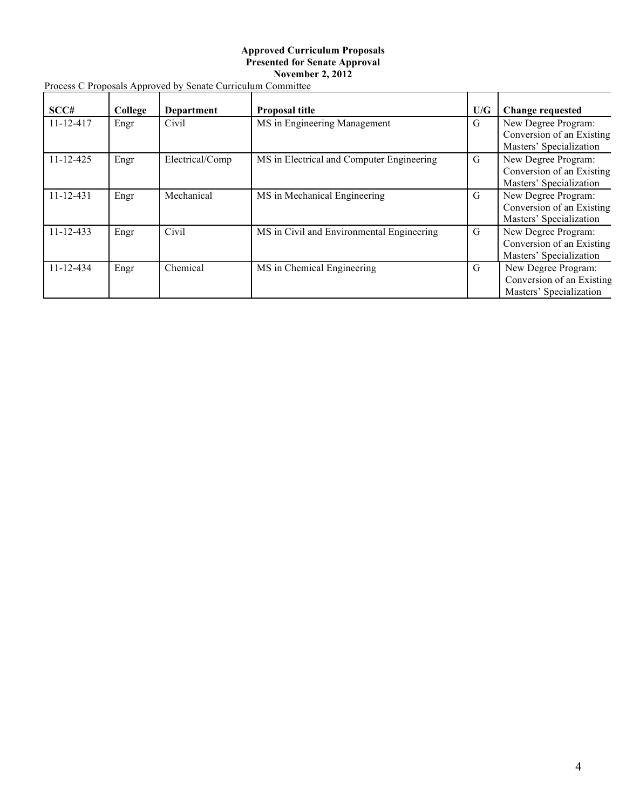#### **Approved Curriculum Proposals Presented for Senate Approval November 2, 2012**

| Process C Proposals Approved by Senate Curriculum Committee |  |
|-------------------------------------------------------------|--|
|-------------------------------------------------------------|--|

| SCC#            | College | <b>Department</b> | Proposal title                            | U/G | <b>Change requested</b>                                                     |
|-----------------|---------|-------------------|-------------------------------------------|-----|-----------------------------------------------------------------------------|
| 11-12-417       | Engr    | Civil             | MS in Engineering Management              | G   | New Degree Program:<br>Conversion of an Existing<br>Masters' Specialization |
| $11 - 12 - 425$ | Engr    | Electrical/Comp   | MS in Electrical and Computer Engineering | G   | New Degree Program:<br>Conversion of an Existing<br>Masters' Specialization |
| $11 - 12 - 431$ | Engr    | Mechanical        | MS in Mechanical Engineering              | G   | New Degree Program:<br>Conversion of an Existing<br>Masters' Specialization |
| $11 - 12 - 433$ | Engr    | Civil             | MS in Civil and Environmental Engineering | G   | New Degree Program:<br>Conversion of an Existing<br>Masters' Specialization |
| $11 - 12 - 434$ | Engr    | Chemical          | MS in Chemical Engineering                | G   | New Degree Program:<br>Conversion of an Existing<br>Masters' Specialization |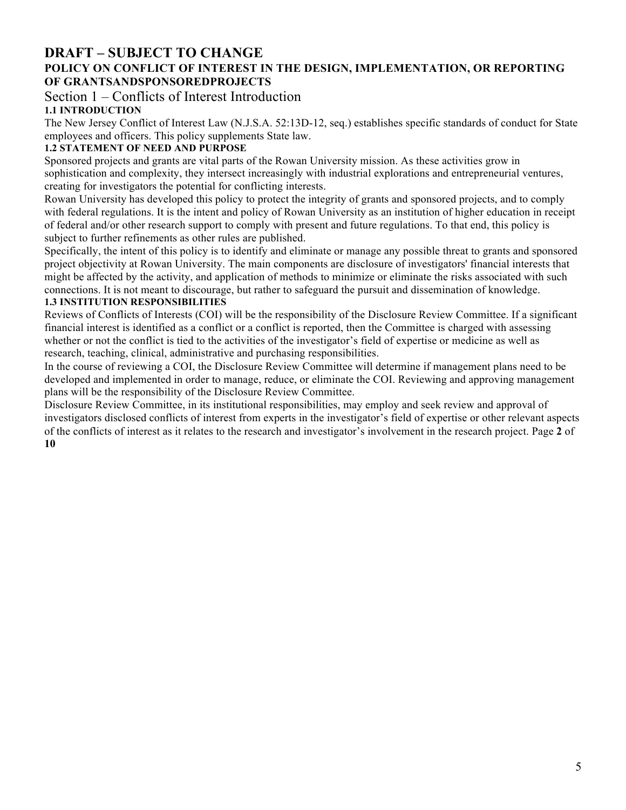# **DRAFT – SUBJECT TO CHANGE**

## **POLICY ON CONFLICT OF INTEREST IN THE DESIGN, IMPLEMENTATION, OR REPORTING OF GRANTSANDSPONSOREDPROJECTS**

Section 1 – Conflicts of Interest Introduction

## **1.1 INTRODUCTION**

The New Jersey Conflict of Interest Law (N.J.S.A. 52:13D-12, seq.) establishes specific standards of conduct for State employees and officers. This policy supplements State law.

## **1.2 STATEMENT OF NEED AND PURPOSE**

Sponsored projects and grants are vital parts of the Rowan University mission. As these activities grow in sophistication and complexity, they intersect increasingly with industrial explorations and entrepreneurial ventures, creating for investigators the potential for conflicting interests.

Rowan University has developed this policy to protect the integrity of grants and sponsored projects, and to comply with federal regulations. It is the intent and policy of Rowan University as an institution of higher education in receipt of federal and/or other research support to comply with present and future regulations. To that end, this policy is subject to further refinements as other rules are published.

Specifically, the intent of this policy is to identify and eliminate or manage any possible threat to grants and sponsored project objectivity at Rowan University. The main components are disclosure of investigators' financial interests that might be affected by the activity, and application of methods to minimize or eliminate the risks associated with such connections. It is not meant to discourage, but rather to safeguard the pursuit and dissemination of knowledge. **1.3 INSTITUTION RESPONSIBILITIES** 

Reviews of Conflicts of Interests (COI) will be the responsibility of the Disclosure Review Committee. If a significant financial interest is identified as a conflict or a conflict is reported, then the Committee is charged with assessing whether or not the conflict is tied to the activities of the investigator's field of expertise or medicine as well as research, teaching, clinical, administrative and purchasing responsibilities.

In the course of reviewing a COI, the Disclosure Review Committee will determine if management plans need to be developed and implemented in order to manage, reduce, or eliminate the COI. Reviewing and approving management plans will be the responsibility of the Disclosure Review Committee.

Disclosure Review Committee, in its institutional responsibilities, may employ and seek review and approval of investigators disclosed conflicts of interest from experts in the investigator's field of expertise or other relevant aspects of the conflicts of interest as it relates to the research and investigator's involvement in the research project. Page **2** of **10**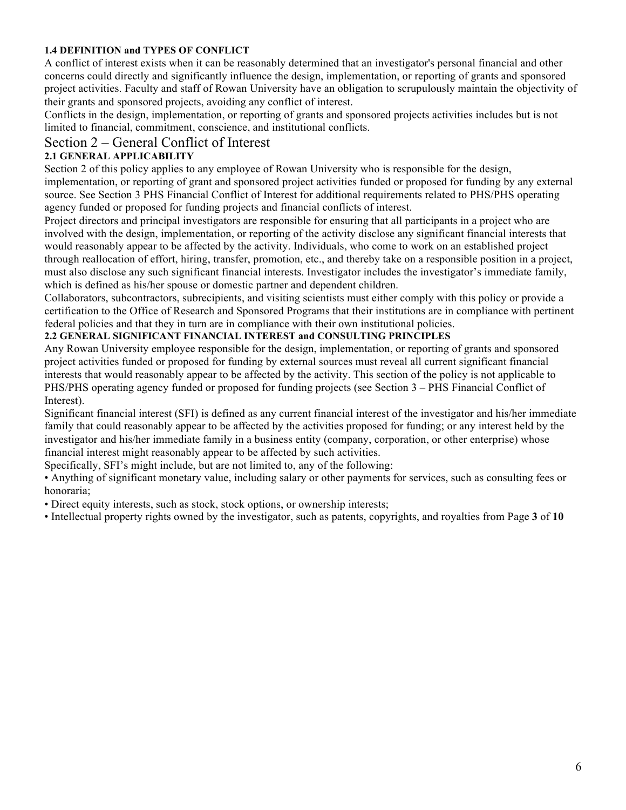## **1.4 DEFINITION and TYPES OF CONFLICT**

A conflict of interest exists when it can be reasonably determined that an investigator's personal financial and other concerns could directly and significantly influence the design, implementation, or reporting of grants and sponsored project activities. Faculty and staff of Rowan University have an obligation to scrupulously maintain the objectivity of their grants and sponsored projects, avoiding any conflict of interest.

Conflicts in the design, implementation, or reporting of grants and sponsored projects activities includes but is not limited to financial, commitment, conscience, and institutional conflicts.

## Section 2 – General Conflict of Interest

## **2.1 GENERAL APPLICABILITY**

Section 2 of this policy applies to any employee of Rowan University who is responsible for the design, implementation, or reporting of grant and sponsored project activities funded or proposed for funding by any external source. See Section 3 PHS Financial Conflict of Interest for additional requirements related to PHS/PHS operating agency funded or proposed for funding projects and financial conflicts of interest.

Project directors and principal investigators are responsible for ensuring that all participants in a project who are involved with the design, implementation, or reporting of the activity disclose any significant financial interests that would reasonably appear to be affected by the activity. Individuals, who come to work on an established project through reallocation of effort, hiring, transfer, promotion, etc., and thereby take on a responsible position in a project, must also disclose any such significant financial interests. Investigator includes the investigator's immediate family, which is defined as his/her spouse or domestic partner and dependent children.

Collaborators, subcontractors, subrecipients, and visiting scientists must either comply with this policy or provide a certification to the Office of Research and Sponsored Programs that their institutions are in compliance with pertinent federal policies and that they in turn are in compliance with their own institutional policies.

#### **2.2 GENERAL SIGNIFICANT FINANCIAL INTEREST and CONSULTING PRINCIPLES**

Any Rowan University employee responsible for the design, implementation, or reporting of grants and sponsored project activities funded or proposed for funding by external sources must reveal all current significant financial interests that would reasonably appear to be affected by the activity. This section of the policy is not applicable to PHS/PHS operating agency funded or proposed for funding projects (see Section 3 – PHS Financial Conflict of Interest).

Significant financial interest (SFI) is defined as any current financial interest of the investigator and his/her immediate family that could reasonably appear to be affected by the activities proposed for funding; or any interest held by the investigator and his/her immediate family in a business entity (company, corporation, or other enterprise) whose financial interest might reasonably appear to be affected by such activities.

Specifically, SFI's might include, but are not limited to, any of the following:

• Anything of significant monetary value, including salary or other payments for services, such as consulting fees or honoraria;

• Direct equity interests, such as stock, stock options, or ownership interests;

• Intellectual property rights owned by the investigator, such as patents, copyrights, and royalties from Page **3** of **10**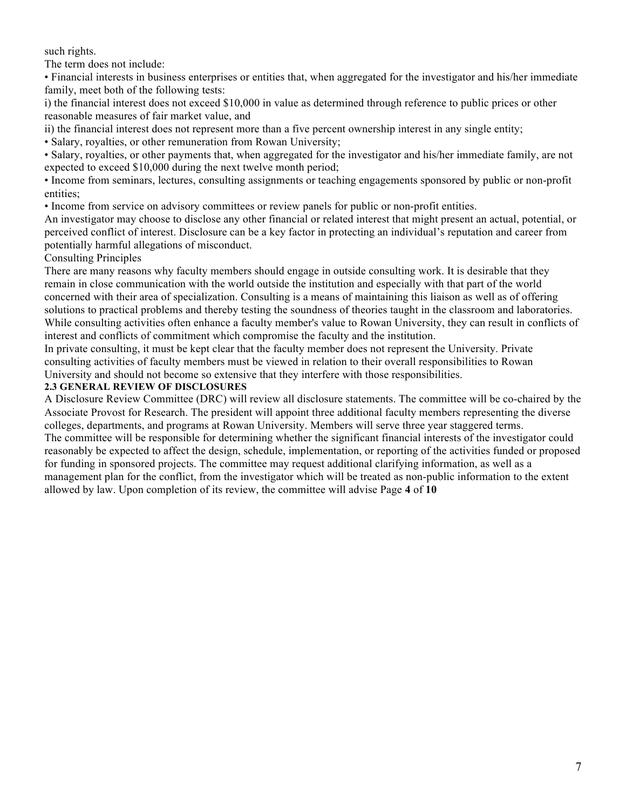such rights.

The term does not include:

• Financial interests in business enterprises or entities that, when aggregated for the investigator and his/her immediate family, meet both of the following tests:

i) the financial interest does not exceed \$10,000 in value as determined through reference to public prices or other reasonable measures of fair market value, and

ii) the financial interest does not represent more than a five percent ownership interest in any single entity;

• Salary, royalties, or other remuneration from Rowan University;

• Salary, royalties, or other payments that, when aggregated for the investigator and his/her immediate family, are not expected to exceed \$10,000 during the next twelve month period;

• Income from seminars, lectures, consulting assignments or teaching engagements sponsored by public or non-profit entities;

• Income from service on advisory committees or review panels for public or non-profit entities.

An investigator may choose to disclose any other financial or related interest that might present an actual, potential, or perceived conflict of interest. Disclosure can be a key factor in protecting an individual's reputation and career from potentially harmful allegations of misconduct.

#### Consulting Principles

There are many reasons why faculty members should engage in outside consulting work. It is desirable that they remain in close communication with the world outside the institution and especially with that part of the world concerned with their area of specialization. Consulting is a means of maintaining this liaison as well as of offering solutions to practical problems and thereby testing the soundness of theories taught in the classroom and laboratories. While consulting activities often enhance a faculty member's value to Rowan University, they can result in conflicts of interest and conflicts of commitment which compromise the faculty and the institution.

In private consulting, it must be kept clear that the faculty member does not represent the University. Private consulting activities of faculty members must be viewed in relation to their overall responsibilities to Rowan University and should not become so extensive that they interfere with those responsibilities.

#### **2.3 GENERAL REVIEW OF DISCLOSURES**

A Disclosure Review Committee (DRC) will review all disclosure statements. The committee will be co-chaired by the Associate Provost for Research. The president will appoint three additional faculty members representing the diverse colleges, departments, and programs at Rowan University. Members will serve three year staggered terms. The committee will be responsible for determining whether the significant financial interests of the investigator could reasonably be expected to affect the design, schedule, implementation, or reporting of the activities funded or proposed for funding in sponsored projects. The committee may request additional clarifying information, as well as a management plan for the conflict, from the investigator which will be treated as non-public information to the extent allowed by law. Upon completion of its review, the committee will advise Page **4** of **10**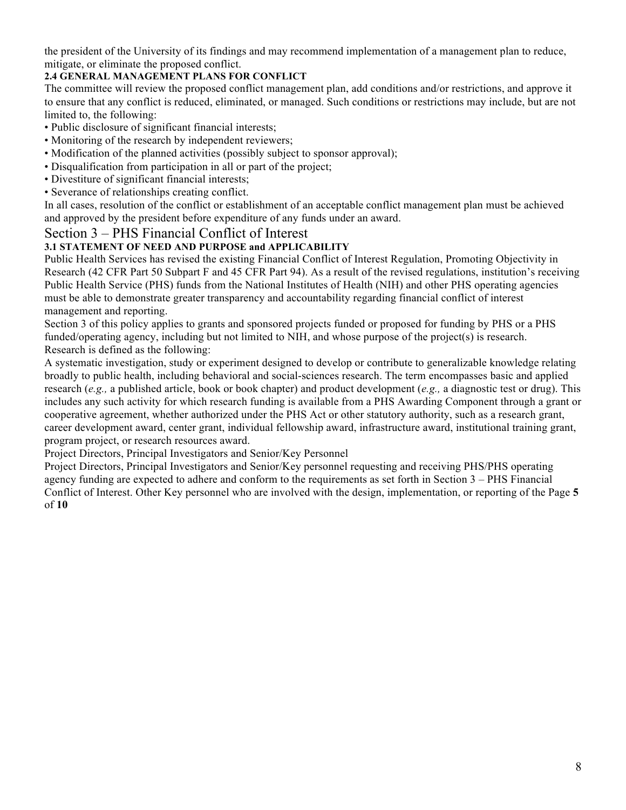the president of the University of its findings and may recommend implementation of a management plan to reduce, mitigate, or eliminate the proposed conflict.

## **2.4 GENERAL MANAGEMENT PLANS FOR CONFLICT**

The committee will review the proposed conflict management plan, add conditions and/or restrictions, and approve it to ensure that any conflict is reduced, eliminated, or managed. Such conditions or restrictions may include, but are not limited to, the following:

- Public disclosure of significant financial interests;
- Monitoring of the research by independent reviewers;
- Modification of the planned activities (possibly subject to sponsor approval);
- Disqualification from participation in all or part of the project;
- Divestiture of significant financial interests;
- Severance of relationships creating conflict.

In all cases, resolution of the conflict or establishment of an acceptable conflict management plan must be achieved and approved by the president before expenditure of any funds under an award.

## Section 3 – PHS Financial Conflict of Interest

## **3.1 STATEMENT OF NEED AND PURPOSE and APPLICABILITY**

Public Health Services has revised the existing Financial Conflict of Interest Regulation, Promoting Objectivity in Research (42 CFR Part 50 Subpart F and 45 CFR Part 94). As a result of the revised regulations, institution's receiving Public Health Service (PHS) funds from the National Institutes of Health (NIH) and other PHS operating agencies must be able to demonstrate greater transparency and accountability regarding financial conflict of interest management and reporting.

Section 3 of this policy applies to grants and sponsored projects funded or proposed for funding by PHS or a PHS funded/operating agency, including but not limited to NIH, and whose purpose of the project(s) is research. Research is defined as the following:

A systematic investigation, study or experiment designed to develop or contribute to generalizable knowledge relating broadly to public health, including behavioral and social-sciences research. The term encompasses basic and applied research (*e.g.,* a published article, book or book chapter) and product development (*e.g.,* a diagnostic test or drug). This includes any such activity for which research funding is available from a PHS Awarding Component through a grant or cooperative agreement, whether authorized under the PHS Act or other statutory authority, such as a research grant, career development award, center grant, individual fellowship award, infrastructure award, institutional training grant, program project, or research resources award.

Project Directors, Principal Investigators and Senior/Key Personnel

Project Directors, Principal Investigators and Senior/Key personnel requesting and receiving PHS/PHS operating agency funding are expected to adhere and conform to the requirements as set forth in Section 3 – PHS Financial Conflict of Interest. Other Key personnel who are involved with the design, implementation, or reporting of the Page **5**  of **10**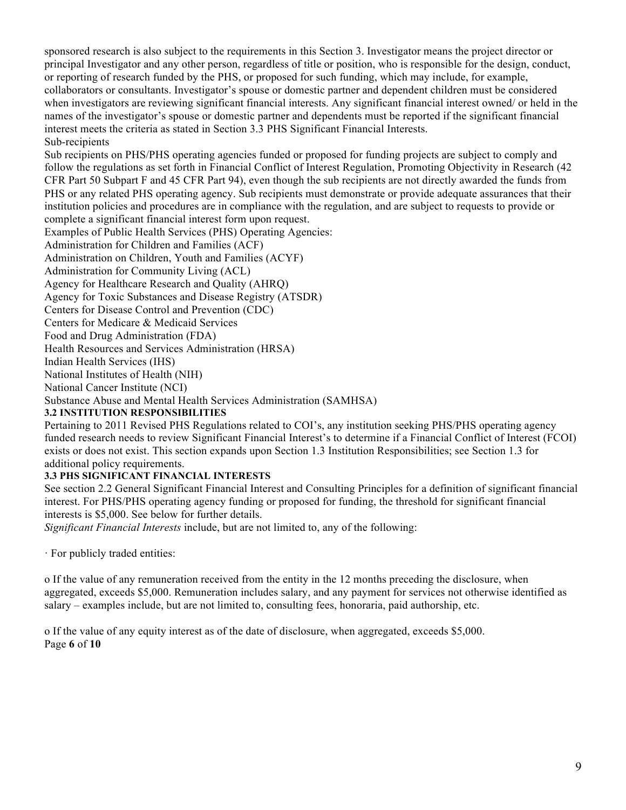sponsored research is also subject to the requirements in this Section 3. Investigator means the project director or principal Investigator and any other person, regardless of title or position, who is responsible for the design, conduct, or reporting of research funded by the PHS, or proposed for such funding, which may include, for example, collaborators or consultants. Investigator's spouse or domestic partner and dependent children must be considered when investigators are reviewing significant financial interests. Any significant financial interest owned/ or held in the names of the investigator's spouse or domestic partner and dependents must be reported if the significant financial interest meets the criteria as stated in Section 3.3 PHS Significant Financial Interests. Sub-recipients

Sub recipients on PHS/PHS operating agencies funded or proposed for funding projects are subject to comply and follow the regulations as set forth in Financial Conflict of Interest Regulation, Promoting Objectivity in Research (42 CFR Part 50 Subpart F and 45 CFR Part 94), even though the sub recipients are not directly awarded the funds from PHS or any related PHS operating agency. Sub recipients must demonstrate or provide adequate assurances that their institution policies and procedures are in compliance with the regulation, and are subject to requests to provide or complete a significant financial interest form upon request.

Examples of Public Health Services (PHS) Operating Agencies:

Administration for Children and Families (ACF)

Administration on Children, Youth and Families (ACYF)

Administration for Community Living (ACL)

Agency for Healthcare Research and Quality (AHRQ)

Agency for Toxic Substances and Disease Registry (ATSDR)

Centers for Disease Control and Prevention (CDC)

Centers for Medicare & Medicaid Services

Food and Drug Administration (FDA)

Health Resources and Services Administration (HRSA)

Indian Health Services (IHS)

National Institutes of Health (NIH)

National Cancer Institute (NCI)

Substance Abuse and Mental Health Services Administration (SAMHSA)

#### **3.2 INSTITUTION RESPONSIBILITIES**

Pertaining to 2011 Revised PHS Regulations related to COI's, any institution seeking PHS/PHS operating agency funded research needs to review Significant Financial Interest's to determine if a Financial Conflict of Interest (FCOI) exists or does not exist. This section expands upon Section 1.3 Institution Responsibilities; see Section 1.3 for additional policy requirements.

## **3.3 PHS SIGNIFICANT FINANCIAL INTERESTS**

See section 2.2 General Significant Financial Interest and Consulting Principles for a definition of significant financial interest. For PHS/PHS operating agency funding or proposed for funding, the threshold for significant financial interests is \$5,000. See below for further details.

*Significant Financial Interests* include, but are not limited to, any of the following:

· For publicly traded entities:

o If the value of any remuneration received from the entity in the 12 months preceding the disclosure, when aggregated, exceeds \$5,000. Remuneration includes salary, and any payment for services not otherwise identified as salary – examples include, but are not limited to, consulting fees, honoraria, paid authorship, etc.

o If the value of any equity interest as of the date of disclosure, when aggregated, exceeds \$5,000. Page **6** of **10**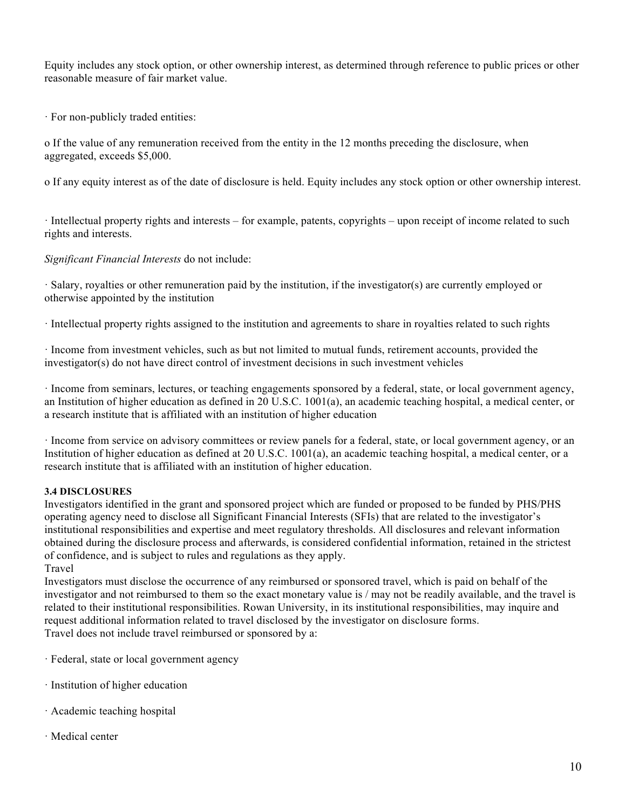Equity includes any stock option, or other ownership interest, as determined through reference to public prices or other reasonable measure of fair market value.

· For non-publicly traded entities:

o If the value of any remuneration received from the entity in the 12 months preceding the disclosure, when aggregated, exceeds \$5,000.

o If any equity interest as of the date of disclosure is held. Equity includes any stock option or other ownership interest.

· Intellectual property rights and interests – for example, patents, copyrights – upon receipt of income related to such rights and interests.

*Significant Financial Interests* do not include:

· Salary, royalties or other remuneration paid by the institution, if the investigator(s) are currently employed or otherwise appointed by the institution

· Intellectual property rights assigned to the institution and agreements to share in royalties related to such rights

· Income from investment vehicles, such as but not limited to mutual funds, retirement accounts, provided the investigator(s) do not have direct control of investment decisions in such investment vehicles

· Income from seminars, lectures, or teaching engagements sponsored by a federal, state, or local government agency, an Institution of higher education as defined in 20 U.S.C. 1001(a), an academic teaching hospital, a medical center, or a research institute that is affiliated with an institution of higher education

· Income from service on advisory committees or review panels for a federal, state, or local government agency, or an Institution of higher education as defined at 20 U.S.C. 1001(a), an academic teaching hospital, a medical center, or a research institute that is affiliated with an institution of higher education.

## **3.4 DISCLOSURES**

Investigators identified in the grant and sponsored project which are funded or proposed to be funded by PHS/PHS operating agency need to disclose all Significant Financial Interests (SFIs) that are related to the investigator's institutional responsibilities and expertise and meet regulatory thresholds. All disclosures and relevant information obtained during the disclosure process and afterwards, is considered confidential information, retained in the strictest of confidence, and is subject to rules and regulations as they apply. Travel

Investigators must disclose the occurrence of any reimbursed or sponsored travel, which is paid on behalf of the investigator and not reimbursed to them so the exact monetary value is / may not be readily available, and the travel is related to their institutional responsibilities. Rowan University, in its institutional responsibilities, may inquire and request additional information related to travel disclosed by the investigator on disclosure forms. Travel does not include travel reimbursed or sponsored by a:

· Federal, state or local government agency

- · Institution of higher education
- · Academic teaching hospital
- · Medical center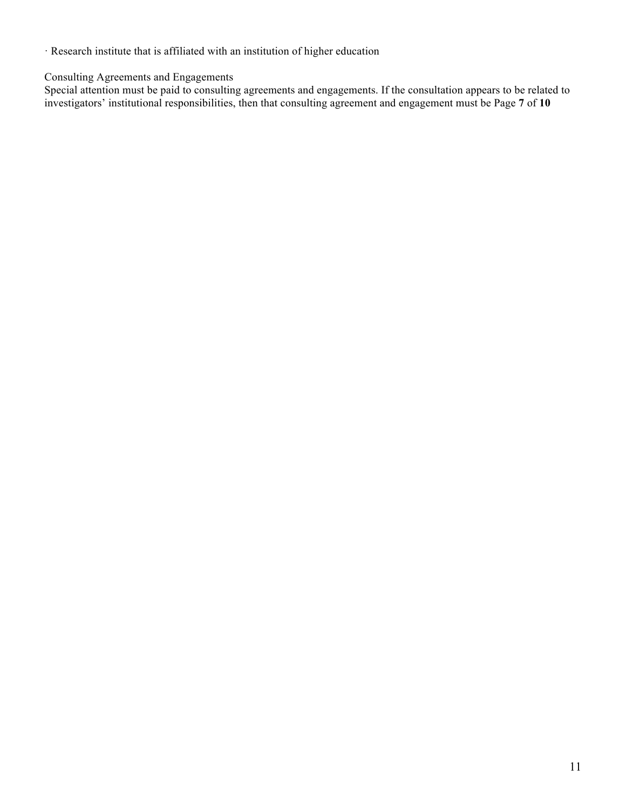· Research institute that is affiliated with an institution of higher education

Consulting Agreements and Engagements

Special attention must be paid to consulting agreements and engagements. If the consultation appears to be related to investigators' institutional responsibilities, then that consulting agreement and engagement must be Page **7** of **10**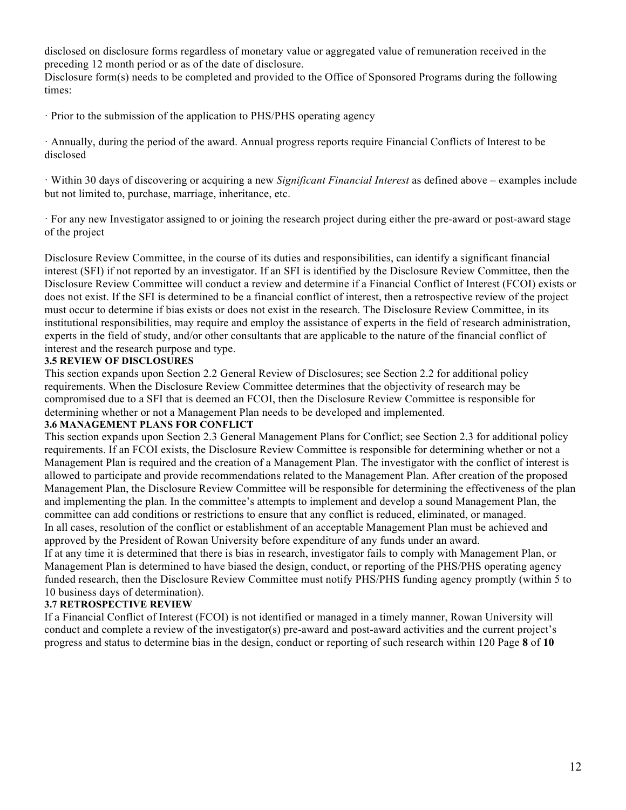disclosed on disclosure forms regardless of monetary value or aggregated value of remuneration received in the preceding 12 month period or as of the date of disclosure.

Disclosure form(s) needs to be completed and provided to the Office of Sponsored Programs during the following times:

· Prior to the submission of the application to PHS/PHS operating agency

· Annually, during the period of the award. Annual progress reports require Financial Conflicts of Interest to be disclosed

· Within 30 days of discovering or acquiring a new *Significant Financial Interest* as defined above – examples include but not limited to, purchase, marriage, inheritance, etc.

· For any new Investigator assigned to or joining the research project during either the pre-award or post-award stage of the project

Disclosure Review Committee, in the course of its duties and responsibilities, can identify a significant financial interest (SFI) if not reported by an investigator. If an SFI is identified by the Disclosure Review Committee, then the Disclosure Review Committee will conduct a review and determine if a Financial Conflict of Interest (FCOI) exists or does not exist. If the SFI is determined to be a financial conflict of interest, then a retrospective review of the project must occur to determine if bias exists or does not exist in the research. The Disclosure Review Committee, in its institutional responsibilities, may require and employ the assistance of experts in the field of research administration, experts in the field of study, and/or other consultants that are applicable to the nature of the financial conflict of interest and the research purpose and type.

#### **3.5 REVIEW OF DISCLOSURES**

This section expands upon Section 2.2 General Review of Disclosures; see Section 2.2 for additional policy requirements. When the Disclosure Review Committee determines that the objectivity of research may be compromised due to a SFI that is deemed an FCOI, then the Disclosure Review Committee is responsible for determining whether or not a Management Plan needs to be developed and implemented.

#### **3.6 MANAGEMENT PLANS FOR CONFLICT**

This section expands upon Section 2.3 General Management Plans for Conflict; see Section 2.3 for additional policy requirements. If an FCOI exists, the Disclosure Review Committee is responsible for determining whether or not a Management Plan is required and the creation of a Management Plan. The investigator with the conflict of interest is allowed to participate and provide recommendations related to the Management Plan. After creation of the proposed Management Plan, the Disclosure Review Committee will be responsible for determining the effectiveness of the plan and implementing the plan. In the committee's attempts to implement and develop a sound Management Plan, the committee can add conditions or restrictions to ensure that any conflict is reduced, eliminated, or managed. In all cases, resolution of the conflict or establishment of an acceptable Management Plan must be achieved and approved by the President of Rowan University before expenditure of any funds under an award.

If at any time it is determined that there is bias in research, investigator fails to comply with Management Plan, or Management Plan is determined to have biased the design, conduct, or reporting of the PHS/PHS operating agency funded research, then the Disclosure Review Committee must notify PHS/PHS funding agency promptly (within 5 to 10 business days of determination).

#### **3.7 RETROSPECTIVE REVIEW**

If a Financial Conflict of Interest (FCOI) is not identified or managed in a timely manner, Rowan University will conduct and complete a review of the investigator(s) pre-award and post-award activities and the current project's progress and status to determine bias in the design, conduct or reporting of such research within 120 Page **8** of **10**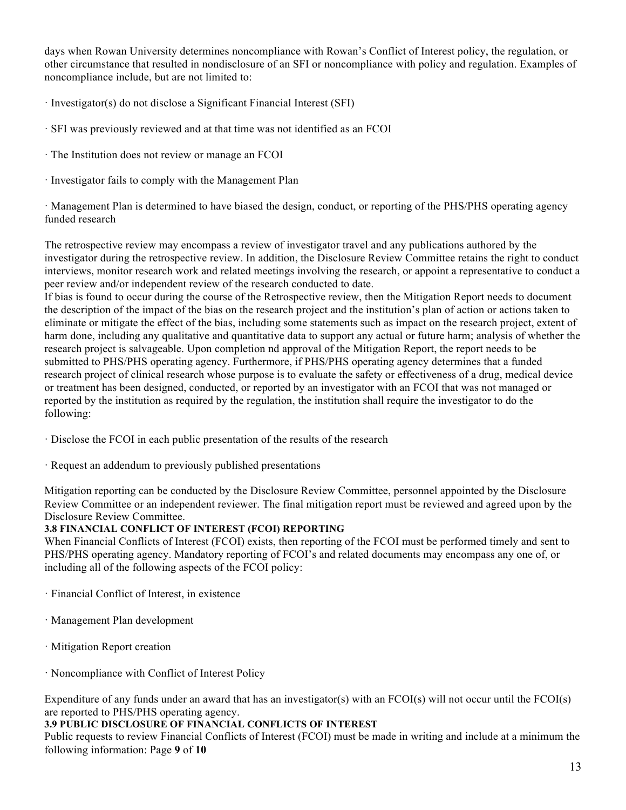days when Rowan University determines noncompliance with Rowan's Conflict of Interest policy, the regulation, or other circumstance that resulted in nondisclosure of an SFI or noncompliance with policy and regulation. Examples of noncompliance include, but are not limited to:

- · Investigator(s) do not disclose a Significant Financial Interest (SFI)
- · SFI was previously reviewed and at that time was not identified as an FCOI
- · The Institution does not review or manage an FCOI
- · Investigator fails to comply with the Management Plan

· Management Plan is determined to have biased the design, conduct, or reporting of the PHS/PHS operating agency funded research

The retrospective review may encompass a review of investigator travel and any publications authored by the investigator during the retrospective review. In addition, the Disclosure Review Committee retains the right to conduct interviews, monitor research work and related meetings involving the research, or appoint a representative to conduct a peer review and/or independent review of the research conducted to date.

If bias is found to occur during the course of the Retrospective review, then the Mitigation Report needs to document the description of the impact of the bias on the research project and the institution's plan of action or actions taken to eliminate or mitigate the effect of the bias, including some statements such as impact on the research project, extent of harm done, including any qualitative and quantitative data to support any actual or future harm; analysis of whether the research project is salvageable. Upon completion nd approval of the Mitigation Report, the report needs to be submitted to PHS/PHS operating agency. Furthermore, if PHS/PHS operating agency determines that a funded research project of clinical research whose purpose is to evaluate the safety or effectiveness of a drug, medical device or treatment has been designed, conducted, or reported by an investigator with an FCOI that was not managed or reported by the institution as required by the regulation, the institution shall require the investigator to do the following:

- · Disclose the FCOI in each public presentation of the results of the research
- · Request an addendum to previously published presentations

Mitigation reporting can be conducted by the Disclosure Review Committee, personnel appointed by the Disclosure Review Committee or an independent reviewer. The final mitigation report must be reviewed and agreed upon by the Disclosure Review Committee.

## **3.8 FINANCIAL CONFLICT OF INTEREST (FCOI) REPORTING**

When Financial Conflicts of Interest (FCOI) exists, then reporting of the FCOI must be performed timely and sent to PHS/PHS operating agency. Mandatory reporting of FCOI's and related documents may encompass any one of, or including all of the following aspects of the FCOI policy:

- · Financial Conflict of Interest, in existence
- · Management Plan development
- · Mitigation Report creation
- · Noncompliance with Conflict of Interest Policy

Expenditure of any funds under an award that has an investigator(s) with an FCOI(s) will not occur until the FCOI(s) are reported to PHS/PHS operating agency.

#### **3.9 PUBLIC DISCLOSURE OF FINANCIAL CONFLICTS OF INTEREST**

Public requests to review Financial Conflicts of Interest (FCOI) must be made in writing and include at a minimum the following information: Page **9** of **10**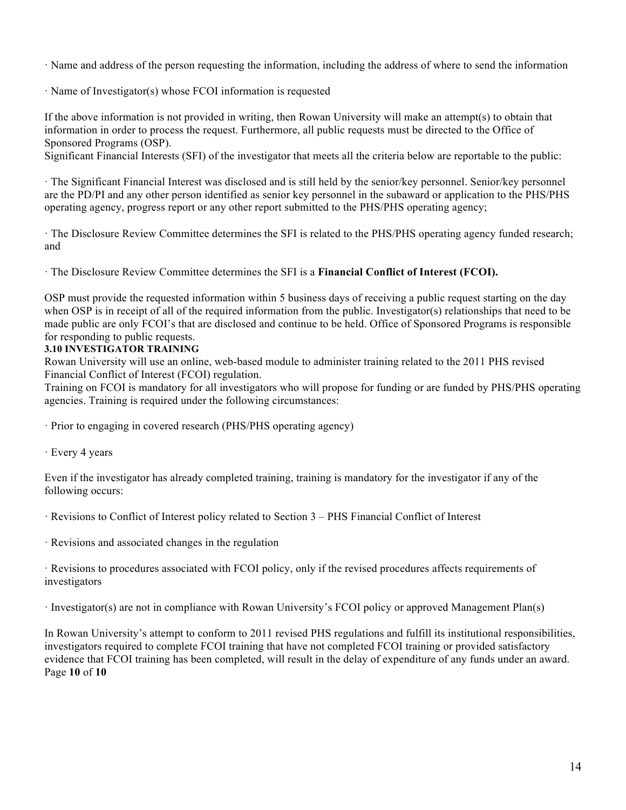· Name and address of the person requesting the information, including the address of where to send the information

· Name of Investigator(s) whose FCOI information is requested

If the above information is not provided in writing, then Rowan University will make an attempt(s) to obtain that information in order to process the request. Furthermore, all public requests must be directed to the Office of Sponsored Programs (OSP).

Significant Financial Interests (SFI) of the investigator that meets all the criteria below are reportable to the public:

· The Significant Financial Interest was disclosed and is still held by the senior/key personnel. Senior/key personnel are the PD/PI and any other person identified as senior key personnel in the subaward or application to the PHS/PHS operating agency, progress report or any other report submitted to the PHS/PHS operating agency;

· The Disclosure Review Committee determines the SFI is related to the PHS/PHS operating agency funded research; and

· The Disclosure Review Committee determines the SFI is a **Financial Conflict of Interest (FCOI).** 

OSP must provide the requested information within 5 business days of receiving a public request starting on the day when OSP is in receipt of all of the required information from the public. Investigator(s) relationships that need to be made public are only FCOI's that are disclosed and continue to be held. Office of Sponsored Programs is responsible for responding to public requests.

## **3.10 INVESTIGATOR TRAINING**

Rowan University will use an online, web-based module to administer training related to the 2011 PHS revised Financial Conflict of Interest (FCOI) regulation.

Training on FCOI is mandatory for all investigators who will propose for funding or are funded by PHS/PHS operating agencies. Training is required under the following circumstances:

· Prior to engaging in covered research (PHS/PHS operating agency)

· Every 4 years

Even if the investigator has already completed training, training is mandatory for the investigator if any of the following occurs:

· Revisions to Conflict of Interest policy related to Section 3 – PHS Financial Conflict of Interest

· Revisions and associated changes in the regulation

· Revisions to procedures associated with FCOI policy, only if the revised procedures affects requirements of investigators

· Investigator(s) are not in compliance with Rowan University's FCOI policy or approved Management Plan(s)

In Rowan University's attempt to conform to 2011 revised PHS regulations and fulfill its institutional responsibilities, investigators required to complete FCOI training that have not completed FCOI training or provided satisfactory evidence that FCOI training has been completed, will result in the delay of expenditure of any funds under an award. Page **10** of **10**